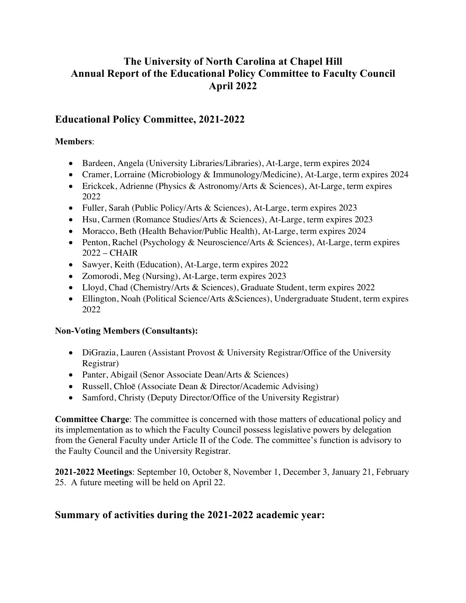# **The University of North Carolina at Chapel Hill Annual Report of the Educational Policy Committee to Faculty Council April 2022**

## **Educational Policy Committee, 2021-2022**

### **Members**:

- Bardeen, Angela (University Libraries/Libraries), At-Large, term expires 2024
- Cramer, Lorraine (Microbiology & Immunology/Medicine), At-Large, term expires 2024
- Erickcek, Adrienne (Physics & Astronomy/Arts & Sciences), At-Large, term expires 2022
- Fuller, Sarah (Public Policy/Arts & Sciences), At-Large, term expires 2023
- Hsu, Carmen (Romance Studies/Arts & Sciences), At-Large, term expires 2023
- Moracco, Beth (Health Behavior/Public Health), At-Large, term expires 2024
- Penton, Rachel (Psychology & Neuroscience/Arts & Sciences), At-Large, term expires 2022 – CHAIR
- Sawyer, Keith (Education), At-Large, term expires 2022
- Zomorodi, Meg (Nursing), At-Large, term expires 2023
- Lloyd, Chad (Chemistry/Arts & Sciences), Graduate Student, term expires 2022
- Ellington, Noah (Political Science/Arts & Sciences), Undergraduate Student, term expires 2022

#### **Non-Voting Members (Consultants):**

- DiGrazia, Lauren (Assistant Provost & University Registrar/Office of the University Registrar)
- Panter, Abigail (Senor Associate Dean/Arts & Sciences)
- Russell, Chloē (Associate Dean & Director/Academic Advising)
- Samford, Christy (Deputy Director/Office of the University Registrar)

**Committee Charge**: The committee is concerned with those matters of educational policy and its implementation as to which the Faculty Council possess legislative powers by delegation from the General Faculty under Article II of the Code. The committee's function is advisory to the Faulty Council and the University Registrar.

**2021-2022 Meetings**: September 10, October 8, November 1, December 3, January 21, February 25. A future meeting will be held on April 22.

## **Summary of activities during the 2021-2022 academic year:**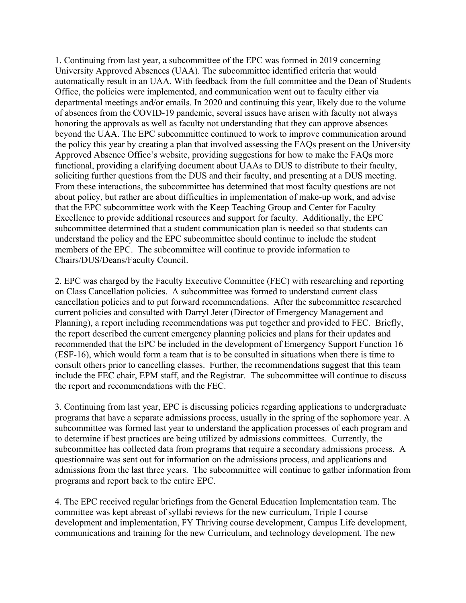1. Continuing from last year, a subcommittee of the EPC was formed in 2019 concerning University Approved Absences (UAA). The subcommittee identified criteria that would automatically result in an UAA. With feedback from the full committee and the Dean of Students Office, the policies were implemented, and communication went out to faculty either via departmental meetings and/or emails. In 2020 and continuing this year, likely due to the volume of absences from the COVID-19 pandemic, several issues have arisen with faculty not always honoring the approvals as well as faculty not understanding that they can approve absences beyond the UAA. The EPC subcommittee continued to work to improve communication around the policy this year by creating a plan that involved assessing the FAQs present on the University Approved Absence Office's website, providing suggestions for how to make the FAQs more functional, providing a clarifying document about UAAs to DUS to distribute to their faculty, soliciting further questions from the DUS and their faculty, and presenting at a DUS meeting. From these interactions, the subcommittee has determined that most faculty questions are not about policy, but rather are about difficulties in implementation of make-up work, and advise that the EPC subcommittee work with the Keep Teaching Group and Center for Faculty Excellence to provide additional resources and support for faculty. Additionally, the EPC subcommittee determined that a student communication plan is needed so that students can understand the policy and the EPC subcommittee should continue to include the student members of the EPC. The subcommittee will continue to provide information to Chairs/DUS/Deans/Faculty Council.

2. EPC was charged by the Faculty Executive Committee (FEC) with researching and reporting on Class Cancellation policies. A subcommittee was formed to understand current class cancellation policies and to put forward recommendations. After the subcommittee researched current policies and consulted with Darryl Jeter (Director of Emergency Management and Planning), a report including recommendations was put together and provided to FEC. Briefly, the report described the current emergency planning policies and plans for their updates and recommended that the EPC be included in the development of Emergency Support Function 16 (ESF-16), which would form a team that is to be consulted in situations when there is time to consult others prior to cancelling classes. Further, the recommendations suggest that this team include the FEC chair, EPM staff, and the Registrar. The subcommittee will continue to discuss the report and recommendations with the FEC.

3. Continuing from last year, EPC is discussing policies regarding applications to undergraduate programs that have a separate admissions process, usually in the spring of the sophomore year. A subcommittee was formed last year to understand the application processes of each program and to determine if best practices are being utilized by admissions committees. Currently, the subcommittee has collected data from programs that require a secondary admissions process. A questionnaire was sent out for information on the admissions process, and applications and admissions from the last three years. The subcommittee will continue to gather information from programs and report back to the entire EPC.

4. The EPC received regular briefings from the General Education Implementation team. The committee was kept abreast of syllabi reviews for the new curriculum, Triple I course development and implementation, FY Thriving course development, Campus Life development, communications and training for the new Curriculum, and technology development. The new